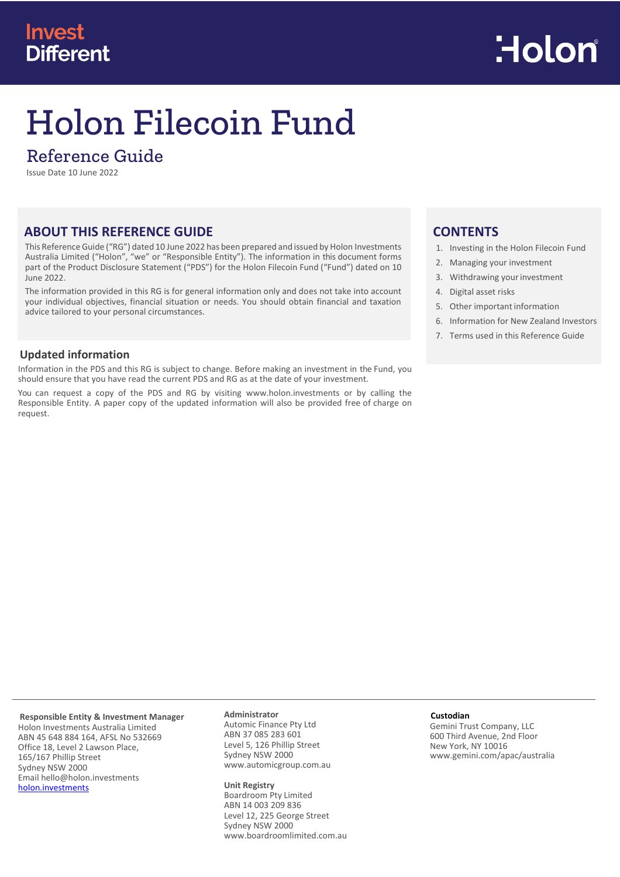# **Invest Different**



# Holon Filecoin Fund

## Reference Guide

Issue Date 10 June 2022

## **ABOUT THIS REFERENCE GUIDE**

This Reference Guide ("RG") dated 10 June 2022 has been prepared and issued by Holon Investments Australia Limited ("Holon", "we" or "Responsible Entity"). The information in this document forms part of the Product Disclosure Statement ("PDS") for the Holon Filecoin Fund ("Fund") dated on 10 June 2022.

The information provided in this RG is for general information only and does not take into account your individual objectives, financial situation or needs. You should obtain financial and taxation advice tailored to your personal circumstances.

## **Updated information**

Information in the PDS and this RG is subject to change. Before making an investment in the Fund, you should ensure that you have read the current PDS and RG as at the date of your investment.

You can request a copy of the PDS and RG by visiting [www.holon.investments](http://www.holon.investments/) or by calling the Responsible Entity. A paper copy of the updated information will also be provided free of charge on request.

## **CONTENTS**

- 1. Investing in the Holon Filecoin Fund
- 2. Managing your investment
- 3. Withdrawing your investment
- 4. Digital asset risks
- 5. Other important information
- 6. Information for New Zealand Investors
- 7. Terms used in this Reference Guide

**Responsible Entity & Investment Manager** Holon Investments Australia Limited ABN 45 648 884 164, AFSL No 532669 Office 18, Level 2 Lawson Place, 165/167 Phillip Street Sydney NSW 2000 Email hello@holon.investments [holon.investments](http://holon.investments/)

#### **Administrator** Automic Finance Pty Ltd

ABN 37 085 283 601 Level 5, 126 Phillip Street Sydney NSW 2000 www.automicgroup.com.au

#### **Unit Registry**

Boardroom Pty Limited ABN 14 003 209 836 Level 12, 225 George Street Sydney NSW 2000 [www.boardroomlimited.com.au](http://www.boardroomlimited.com.au/)

#### **Custodian**

Gemini Trust Company, LLC 600 Third Avenue, 2nd Floor New York, NY 10016 www.gemini.com/apac/australia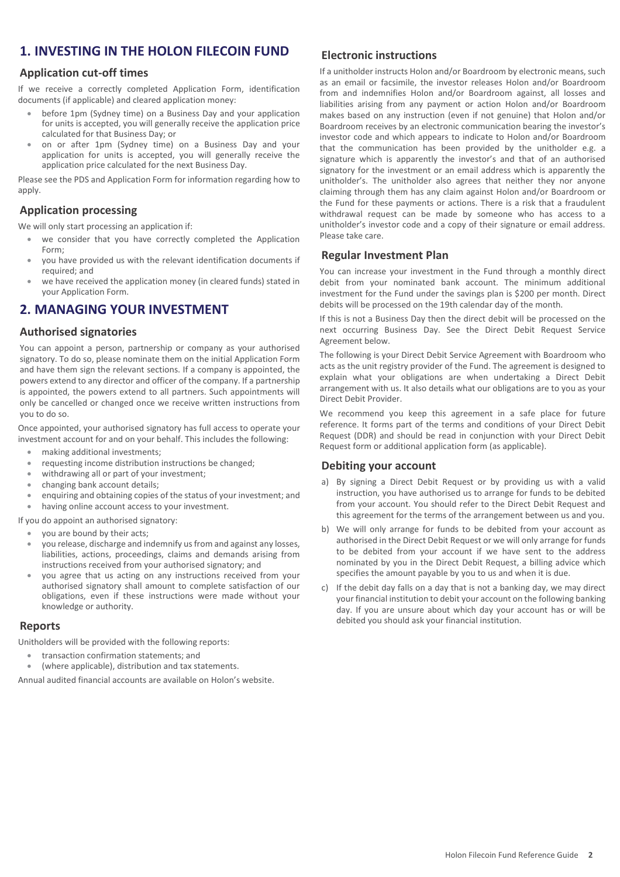## **1. INVESTING IN THE HOLON FILECOIN FUND**

## **Application cut-off times**

If we receive a correctly completed Application Form, identification documents (if applicable) and cleared application money:

- before 1pm (Sydney time) on a Business Day and your application for units is accepted, you will generally receive the application price calculated for that Business Day; or
- on or after 1pm (Sydney time) on a Business Day and your application for units is accepted, you will generally receive the application price calculated for the next Business Day.

Please see the PDS and Application Form for information regarding how to apply.

## **Application processing**

We will only start processing an application if:

- we consider that you have correctly completed the Application Form;
- you have provided us with the relevant identification documents if required; and
- we have received the application money (in cleared funds) stated in your Application Form.

## **2. MANAGING YOUR INVESTMENT**

## **Authorised signatories**

You can appoint a person, partnership or company as your authorised signatory. To do so, please nominate them on the initial Application Form and have them sign the relevant sections. If a company is appointed, the powers extend to any director and officer of the company. If a partnership is appointed, the powers extend to all partners. Such appointments will only be cancelled or changed once we receive written instructions from you to do so.

Once appointed, your authorised signatory has full access to operate your investment account for and on your behalf. This includes the following:

- making additional investments;
- requesting income distribution instructions be changed;
- withdrawing all or part of your investment;
- changing bank account details;
- enquiring and obtaining copies of the status of your investment; and

having online account access to your investment.

If you do appoint an authorised signatory:

- you are bound by their acts;
- you release, discharge and indemnify us from and against any losses, liabilities, actions, proceedings, claims and demands arising from instructions received from your authorised signatory; and
- you agree that us acting on any instructions received from your authorised signatory shall amount to complete satisfaction of our obligations, even if these instructions were made without your knowledge or authority.

#### **Reports**

Unitholders will be provided with the following reports:

- transaction confirmation statements; and
- (where applicable), distribution and tax statements.

Annual audited financial accounts are available on Holon's website.

## **Electronic instructions**

If a unitholder instructs Holon and/or Boardroom by electronic means, such as an email or facsimile, the investor releases Holon and/or Boardroom from and indemnifies Holon and/or Boardroom against, all losses and liabilities arising from any payment or action Holon and/or Boardroom makes based on any instruction (even if not genuine) that Holon and/or Boardroom receives by an electronic communication bearing the investor's investor code and which appears to indicate to Holon and/or Boardroom that the communication has been provided by the unitholder e.g. a signature which is apparently the investor's and that of an authorised signatory for the investment or an email address which is apparently the unitholder's. The unitholder also agrees that neither they nor anyone claiming through them has any claim against Holon and/or Boardroom or the Fund for these payments or actions. There is a risk that a fraudulent withdrawal request can be made by someone who has access to a unitholder's investor code and a copy of their signature or email address. Please take care.

## **Regular Investment Plan**

You can increase your investment in the Fund through a monthly direct debit from your nominated bank account. The minimum additional investment for the Fund under the savings plan is \$200 per month. Direct debits will be processed on the 19th calendar day of the month.

If this is not a Business Day then the direct debit will be processed on the next occurring Business Day. See the Direct Debit Request Service Agreement below.

The following is your Direct Debit Service Agreement with Boardroom who acts as the unit registry provider of the Fund. The agreement is designed to explain what your obligations are when undertaking a Direct Debit arrangement with us. It also details what our obligations are to you as your Direct Debit Provider.

We recommend you keep this agreement in a safe place for future reference. It forms part of the terms and conditions of your Direct Debit Request (DDR) and should be read in conjunction with your Direct Debit Request form or additional application form (as applicable).

## **Debiting your account**

- a) By signing a Direct Debit Request or by providing us with a valid instruction, you have authorised us to arrange for funds to be debited from your account. You should refer to the Direct Debit Request and this agreement for the terms of the arrangement between us and you.
- b) We will only arrange for funds to be debited from your account as authorised in the Direct Debit Request or we will only arrange for funds to be debited from your account if we have sent to the address nominated by you in the Direct Debit Request, a billing advice which specifies the amount payable by you to us and when it is due.
- c) If the debit day falls on a day that is not a banking day, we may direct your financial institution to debit your account on the following banking day. If you are unsure about which day your account has or will be debited you should ask your financial institution.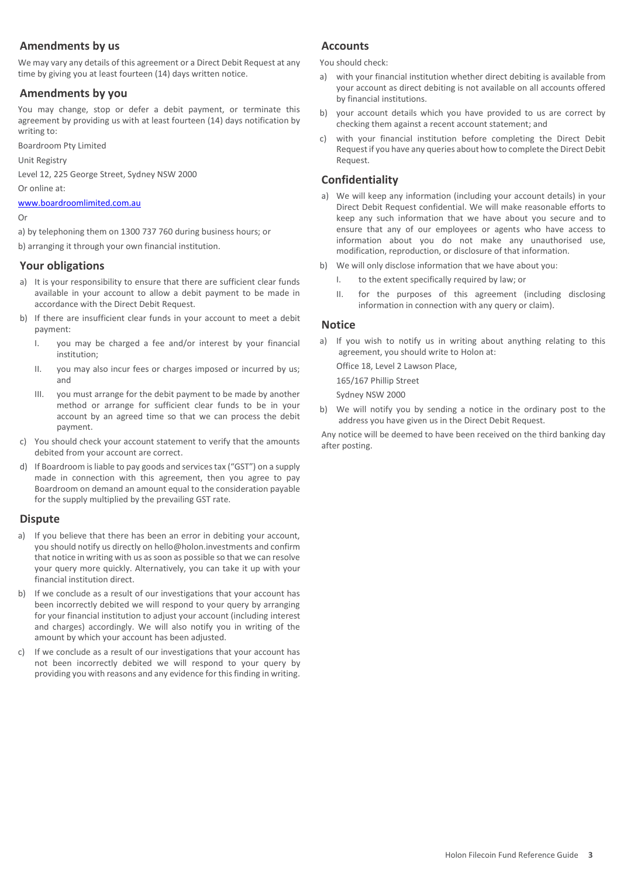## **Amendments by us**

We may vary any details of this agreement or a Direct Debit Request at any time by giving you at least fourteen (14) days written notice.

## **Amendments by you**

You may change, stop or defer a debit payment, or terminate this agreement by providing us with at least fourteen (14) days notification by writing to:

Boardroom Pty Limited

Unit Registry

Level 12, 225 George Street, Sydney NSW 2000

Or online at:

[www.boardroomlimited.com.au](http://www.boardroomlimited.com.au/)

#### Or

a) by telephoning them on 1300 737 760 during business hours; or

b) arranging it through your own financial institution.

## **Your obligations**

- a) It is your responsibility to ensure that there are sufficient clear funds available in your account to allow a debit payment to be made in accordance with the Direct Debit Request.
- b) If there are insufficient clear funds in your account to meet a debit payment:
	- I. you may be charged a fee and/or interest by your financial institution;
	- II. you may also incur fees or charges imposed or incurred by us; and
	- III. you must arrange for the debit payment to be made by another method or arrange for sufficient clear funds to be in your account by an agreed time so that we can process the debit payment.
- c) You should check your account statement to verify that the amounts debited from your account are correct.
- d) If Boardroom is liable to pay goods and services tax ("GST") on a supply made in connection with this agreement, then you agree to pay Boardroom on demand an amount equal to the consideration payable for the supply multiplied by the prevailing GST rate.

## **Dispute**

- a) If you believe that there has been an error in debiting your account, you should notify us directly on hello@holon.investments and confirm that notice in writing with us as soon as possible so that we can resolve your query more quickly. Alternatively, you can take it up with your financial institution direct.
- b) If we conclude as a result of our investigations that your account has been incorrectly debited we will respond to your query by arranging for your financial institution to adjust your account (including interest and charges) accordingly. We will also notify you in writing of the amount by which your account has been adjusted.
- c) If we conclude as a result of our investigations that your account has not been incorrectly debited we will respond to your query by providing you with reasons and any evidence for this finding in writing.

## **Accounts**

You should check:

- a) with your financial institution whether direct debiting is available from your account as direct debiting is not available on all accounts offered by financial institutions.
- b) your account details which you have provided to us are correct by checking them against a recent account statement; and
- c) with your financial institution before completing the Direct Debit Request if you have any queries about how to complete the Direct Debit Request.

## **Confidentiality**

- a) We will keep any information (including your account details) in your Direct Debit Request confidential. We will make reasonable efforts to keep any such information that we have about you secure and to ensure that any of our employees or agents who have access to information about you do not make any unauthorised use, modification, reproduction, or disclosure of that information.
- b) We will only disclose information that we have about you:
	- I. to the extent specifically required by law; or
	- II. for the purposes of this agreement (including disclosing information in connection with any query or claim).

## **Notice**

a) If you wish to notify us in writing about anything relating to this agreement, you should write to Holon at:

Office 18, Level 2 Lawson Place,

165/167 Phillip Street Sydney NSW 2000

b) We will notify you by sending a notice in the ordinary post to the address you have given us in the Direct Debit Request.

Any notice will be deemed to have been received on the third banking day after posting.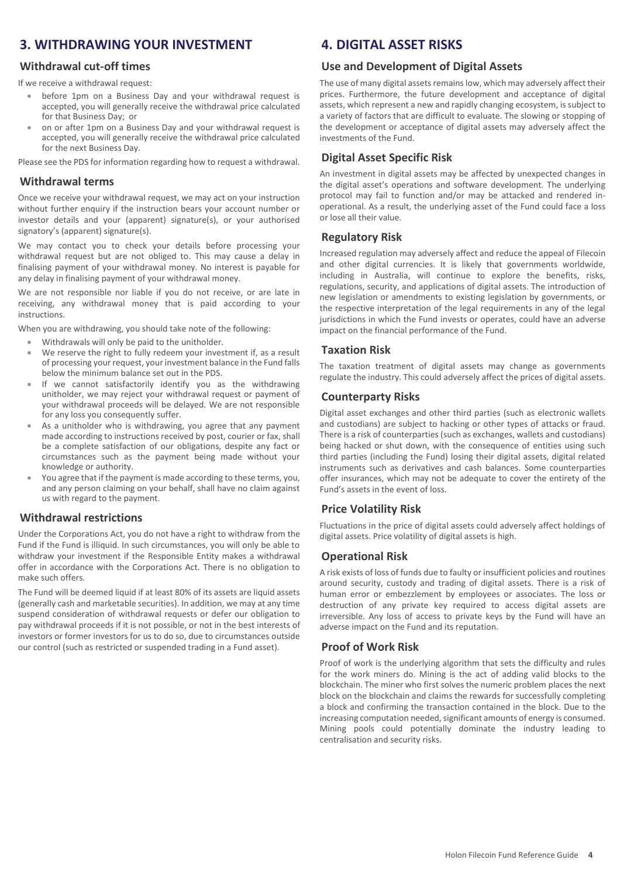## **3. WITHDRAWING YOUR INVESTMENT**

## **Withdrawal cut-off times**

If we receive a withdrawal request:

- before 1pm on a Business Day and your withdrawal request is accepted, you will generally receive the withdrawal price calculated for that Business Day; or
- on or after 1pm on a Business Day and your withdrawal request is accepted, you will generally receive the withdrawal price calculated for the next Business Day.

Please see the PDS for information regarding how to request a withdrawal.

#### **Withdrawal terms**

Once we receive your withdrawal request, we may act on your instruction without further enquiry if the instruction bears your account number or investor details and your (apparent) signature(s), or your authorised signatory's (apparent) signature(s).

We may contact you to check your details before processing your withdrawal request but are not obliged to. This may cause a delay in finalising payment of your withdrawal money. No interest is payable for any delay in finalising payment of your withdrawal money.

We are not responsible nor liable if you do not receive, or are late in receiving, any withdrawal money that is paid according to your instructions.

When you are withdrawing, you should take note of the following:

- Withdrawals will only be paid to the unitholder.
- We reserve the right to fully redeem your investment if, as a result of processing your request, your investment balance in the Fund falls below the minimum balance set out in the PDS.
- If we cannot satisfactorily identify you as the withdrawing unitholder, we may reject your withdrawal request or payment of your withdrawal proceeds will be delayed. We are not responsible for any loss you consequently suffer.
- As a unitholder who is withdrawing, you agree that any payment made according to instructions received by post, courier or fax, shall be a complete satisfaction of our obligations, despite any fact or circumstances such as the payment being made without your knowledge or authority.
- You agree that if the payment is made according to these terms, you, and any person claiming on your behalf, shall have no claim against us with regard to the payment.

## **Withdrawal restrictions**

Under the Corporations Act, you do not have a right to withdraw from the Fund if the Fund is illiquid. In such circumstances, you will only be able to withdraw your investment if the Responsible Entity makes a withdrawal offer in accordance with the Corporations Act. There is no obligation to make such offers.

The Fund will be deemed liquid if at least 80% of its assets are liquid assets (generally cash and marketable securities). In addition, we may at any time suspend consideration of withdrawal requests or defer our obligation to pay withdrawal proceeds if it is not possible, or not in the best interests of investors or former investors for us to do so, due to circumstances outside our control (such as restricted or suspended trading in a Fund asset).

## **4. DIGITAL ASSET RISKS**

#### **Use and Development of Digital Assets**

The use of many digital assets remains low, which may adversely affect their prices. Furthermore, the future development and acceptance of digital assets, which represent a new and rapidly changing ecosystem, is subject to a variety of factors that are difficult to evaluate. The slowing or stopping of the development or acceptance of digital assets may adversely affect the investments of the Fund.

## **Digital Asset Specific Risk**

An investment in digital assets may be affected by unexpected changes in the digital asset's operations and software development. The underlying protocol may fail to function and/or may be attacked and rendered inoperational. As a result, the underlying asset of the Fund could face a loss or lose all their value.

## **Regulatory Risk**

Increased regulation may adversely affect and reduce the appeal of Filecoin and other digital currencies. It is likely that governments worldwide, including in Australia, will continue to explore the benefits, risks, regulations, security, and applications of digital assets. The introduction of new legislation or amendments to existing legislation by governments, or the respective interpretation of the legal requirements in any of the legal jurisdictions in which the Fund invests or operates, could have an adverse impact on the financial performance of the Fund.

## **Taxation Risk**

The taxation treatment of digital assets may change as governments regulate the industry. This could adversely affect the prices of digital assets.

#### **Counterparty Risks**

Digital asset exchanges and other third parties (such as electronic wallets and custodians) are subject to hacking or other types of attacks or fraud. There is a risk of counterparties (such as exchanges, wallets and custodians) being hacked or shut down, with the consequence of entities using such third parties (including the Fund) losing their digital assets, digital related instruments such as derivatives and cash balances. Some counterparties offer insurances, which may not be adequate to cover the entirety of the Fund's assets in the event of loss.

## **Price Volatility Risk**

Fluctuations in the price of digital assets could adversely affect holdings of digital assets. Price volatility of digital assets is high.

## **Operational Risk**

A risk exists of loss of funds due to faulty or insufficient policies and routines around security, custody and trading of digital assets. There is a risk of human error or embezzlement by employees or associates. The loss or destruction of any private key required to access digital assets are irreversible. Any loss of access to private keys by the Fund will have an adverse impact on the Fund and its reputation.

## **Proof of Work Risk**

Proof of work is the underlying algorithm that sets the difficulty and rules for the work miners do. Mining is the act of adding valid blocks to the blockchain. The miner who first solves the numeric problem places the next block on the blockchain and claims the rewards for successfully completing a block and confirming the transaction contained in the block. Due to the increasing computation needed, significant amounts of energy is consumed. Mining pools could potentially dominate the industry leading to centralisation and security risks.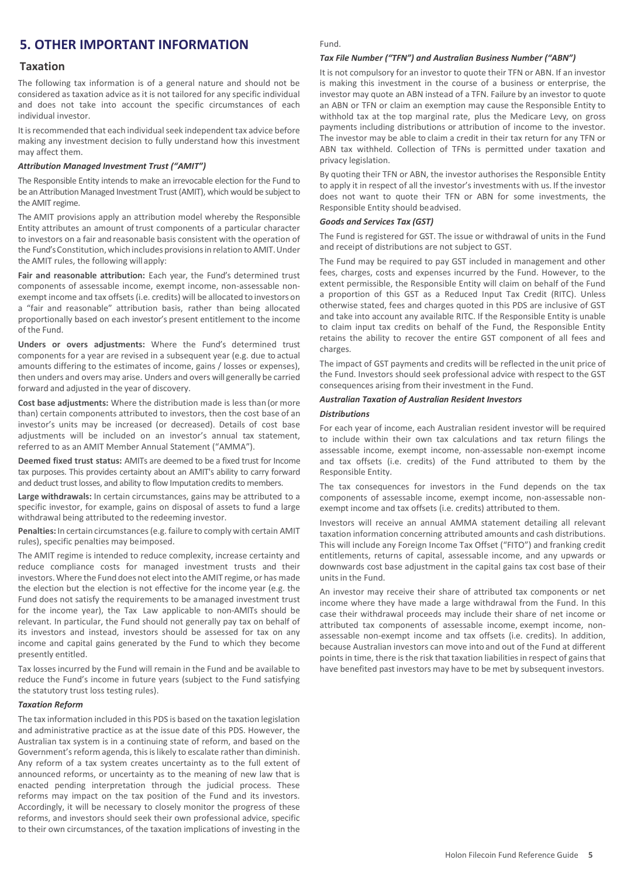## **5. OTHER IMPORTANT INFORMATION**

#### **Taxation**

The following tax information is of a general nature and should not be considered as taxation advice as it is not tailored for any specific individual and does not take into account the specific circumstances of each individual investor.

It is recommended that each individual seek independent tax advice before making any investment decision to fully understand how this investment may affect them.

#### *Attribution Managed Investment Trust ("AMIT")*

The Responsible Entity intends to make an irrevocable election for the Fund to be an Attribution Managed Investment Trust (AMIT), which would be subject to the AMIT regime.

The AMIT provisions apply an attribution model whereby the Responsible Entity attributes an amount of trust components of a particular character to investors on a fair and reasonable basis consistent with the operation of the Fund's Constitution, which includes provisions in relation to AMIT. Under the AMIT rules, the following willapply:

**Fair and reasonable attribution:** Each year, the Fund's determined trust components of assessable income, exempt income, non-assessable nonexempt income and tax offsets (i.e. credits) will be allocated to investors on a "fair and reasonable" attribution basis, rather than being allocated proportionally based on each investor's present entitlement to the income of the Fund.

**Unders or overs adjustments:** Where the Fund's determined trust components for a year are revised in a subsequent year (e.g. due to actual amounts differing to the estimates of income, gains / losses or expenses), then unders and overs may arise. Unders and overs will generally be carried forward and adjusted in the year of discovery.

**Cost base adjustments:** Where the distribution made is less than (or more than) certain components attributed to investors, then the cost base of an investor's units may be increased (or decreased). Details of cost base adjustments will be included on an investor's annual tax statement, referred to as an AMIT Member Annual Statement ("AMMA").

**Deemed fixed trust status:** AMITs are deemed to be a fixed trust for Income tax purposes. This provides certainty about an AMIT's ability to carry forward and deduct trust losses, and ability to flow Imputation credits to members.

**Large withdrawals:** In certain circumstances, gains may be attributed to a specific investor, for example, gains on disposal of assets to fund a large withdrawal being attributed to the redeeming investor.

**Penalties:** In certain circumstances(e.g. failure to comply with certain AMIT rules), specific penalties may beimposed.

The AMIT regime is intended to reduce complexity, increase certainty and reduce compliance costs for managed investment trusts and their investors.Where the Fund does not electinto theAMIT regime, or has made the election but the election is not effective for the income year (e.g. the Fund does not satisfy the requirements to be a managed investment trust for the income year), the Tax Law applicable to non-AMITs should be relevant. In particular, the Fund should not generally pay tax on behalf of its investors and instead, investors should be assessed for tax on any income and capital gains generated by the Fund to which they become presently entitled.

Tax losses incurred by the Fund will remain in the Fund and be available to reduce the Fund's income in future years (subject to the Fund satisfying the statutory trust loss testing rules).

#### *Taxation Reform*

The tax information included in this PDS is based on the taxation legislation and administrative practice as at the issue date of this PDS. However, the Australian tax system is in a continuing state of reform, and based on the Government's reform agenda, this is likely to escalate rather than diminish. Any reform of a tax system creates uncertainty as to the full extent of announced reforms, or uncertainty as to the meaning of new law that is enacted pending interpretation through the judicial process. These reforms may impact on the tax position of the Fund and its investors. Accordingly, it will be necessary to closely monitor the progress of these reforms, and investors should seek their own professional advice, specific to their own circumstances, of the taxation implications of investing in the

#### Fund.

#### *Tax File Number ("TFN") and Australian Business Number ("ABN")*

It is not compulsory for an investor to quote their TFN or ABN. If an investor is making this investment in the course of a business or enterprise, the investor may quote an ABN instead of a TFN. Failure by an investor to quote an ABN or TFN or claim an exemption may cause the Responsible Entity to withhold tax at the top marginal rate, plus the Medicare Levy, on gross payments including distributions or attribution of income to the investor. The investor may be able to claim a credit in their tax return for any TFN or ABN tax withheld. Collection of TFNs is permitted under taxation and privacy legislation.

By quoting their TFN or ABN, the investor authorises the Responsible Entity to apply it in respect of all the investor's investments with us. If the investor does not want to quote their TFN or ABN for some investments, the Responsible Entity should beadvised.

#### *Goods and Services Tax (GST)*

The Fund is registered for GST. The issue or withdrawal of units in the Fund and receipt of distributions are not subject to GST.

The Fund may be required to pay GST included in management and other fees, charges, costs and expenses incurred by the Fund. However, to the extent permissible, the Responsible Entity will claim on behalf of the Fund a proportion of this GST as a Reduced Input Tax Credit (RITC). Unless otherwise stated, fees and charges quoted in this PDS are inclusive of GST and take into account any available RITC. If the Responsible Entity is unable to claim input tax credits on behalf of the Fund, the Responsible Entity retains the ability to recover the entire GST component of all fees and charges.

The impact of GST payments and credits will be reflected in the unit price of the Fund. Investors should seek professional advice with respect to the GST consequences arising from their investment in the Fund.

#### *Australian Taxation of Australian Resident Investors*

#### *Distributions*

For each year of income, each Australian resident investor will be required to include within their own tax calculations and tax return filings the assessable income, exempt income, non-assessable non-exempt income and tax offsets (i.e. credits) of the Fund attributed to them by the Responsible Entity.

The tax consequences for investors in the Fund depends on the tax components of assessable income, exempt income, non-assessable nonexempt income and tax offsets (i.e. credits) attributed to them.

Investors will receive an annual AMMA statement detailing all relevant taxation information concerning attributed amounts and cash distributions. This will include any Foreign Income Tax Offset ("FITO") and franking credit entitlements, returns of capital, assessable income, and any upwards or downwards cost base adjustment in the capital gains tax cost base of their units in the Fund.

An investor may receive their share of attributed tax components or net income where they have made a large withdrawal from the Fund. In this case their withdrawal proceeds may include their share of net income or attributed tax components of assessable income, exempt income, nonassessable non-exempt income and tax offsets (i.e. credits). In addition, because Australian investors can move into and out of the Fund at different points in time, there is the risk that taxation liabilities in respect of gains that have benefited past investors may have to be met by subsequent investors.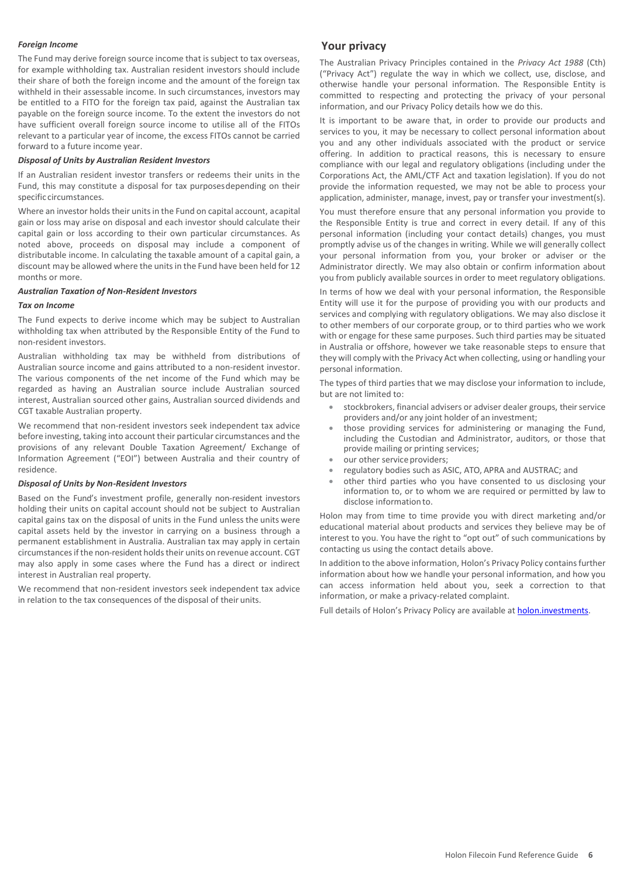#### *Foreign Income*

The Fund may derive foreign source income that is subject to tax overseas, for example withholding tax. Australian resident investors should include their share of both the foreign income and the amount of the foreign tax withheld in their assessable income. In such circumstances, investors may be entitled to a FITO for the foreign tax paid, against the Australian tax payable on the foreign source income. To the extent the investors do not have sufficient overall foreign source income to utilise all of the FITOs relevant to a particular year of income, the excess FITOs cannot be carried forward to a future income year.

#### *Disposal of Units by Australian Resident Investors*

If an Australian resident investor transfers or redeems their units in the Fund, this may constitute a disposal for tax purposesdepending on their specific circumstances.

Where an investor holds their units in the Fund on capital account, a capital gain or loss may arise on disposal and each investor should calculate their capital gain or loss according to their own particular circumstances. As noted above, proceeds on disposal may include a component of distributable income. In calculating the taxable amount of a capital gain, a discount may be allowed where the units in the Fund have been held for 12 months or more.

#### *Australian Taxation of Non-Resident Investors*

#### *Tax on Income*

The Fund expects to derive income which may be subject to Australian withholding tax when attributed by the Responsible Entity of the Fund to non-resident investors.

Australian withholding tax may be withheld from distributions of Australian source income and gains attributed to a non-resident investor. The various components of the net income of the Fund which may be regarded as having an Australian source include Australian sourced interest, Australian sourced other gains, Australian sourced dividends and CGT taxable Australian property.

We recommend that non-resident investors seek independent tax advice before investing, taking into account their particular circumstances and the provisions of any relevant Double Taxation Agreement/ Exchange of Information Agreement ("EOI") between Australia and their country of residence.

#### *Disposal of Units by Non-Resident Investors*

Based on the Fund's investment profile, generally non-resident investors holding their units on capital account should not be subject to Australian capital gains tax on the disposal of units in the Fund unless the units were capital assets held by the investor in carrying on a business through a permanent establishment in Australia. Australian tax may apply in certain circumstances if the non-resident holds their units on revenue account. CGT may also apply in some cases where the Fund has a direct or indirect interest in Australian real property.

We recommend that non-resident investors seek independent tax advice in relation to the tax consequences of the disposal of their units.

#### **Your privacy**

The Australian Privacy Principles contained in the *Privacy Act 1988* (Cth) ("Privacy Act") regulate the way in which we collect, use, disclose, and otherwise handle your personal information. The Responsible Entity is committed to respecting and protecting the privacy of your personal information, and our Privacy Policy details how we do this.

It is important to be aware that, in order to provide our products and services to you, it may be necessary to collect personal information about you and any other individuals associated with the product or service offering. In addition to practical reasons, this is necessary to ensure compliance with our legal and regulatory obligations (including under the Corporations Act, the AML/CTF Act and taxation legislation). If you do not provide the information requested, we may not be able to process your application, administer, manage, invest, pay or transfer your investment(s).

You must therefore ensure that any personal information you provide to the Responsible Entity is true and correct in every detail. If any of this personal information (including your contact details) changes, you must promptly advise us of the changes in writing. While we will generally collect your personal information from you, your broker or adviser or the Administrator directly. We may also obtain or confirm information about you from publicly available sources in order to meet regulatory obligations.

In terms of how we deal with your personal information, the Responsible Entity will use it for the purpose of providing you with our products and services and complying with regulatory obligations. We may also disclose it to other members of our corporate group, or to third parties who we work with or engage for these same purposes. Such third parties may be situated in Australia or offshore, however we take reasonable steps to ensure that they will comply with the Privacy Act when collecting, using or handling your personal information.

The types of third parties that we may disclose your information to include, but are not limited to:

- stockbrokers, financial advisers or adviser dealer groups, their service providers and/or any joint holder of an investment;
- those providing services for administering or managing the Fund, including the Custodian and Administrator, auditors, or those that provide mailing or printing services;
- our other service providers;
- regulatory bodies such as ASIC, ATO, APRA and AUSTRAC; and
- other third parties who you have consented to us disclosing your information to, or to whom we are required or permitted by law to disclose information to.

Holon may from time to time provide you with direct marketing and/or educational material about products and services they believe may be of interest to you. You have the right to "opt out" of such communications by contacting us using the contact details above.

In addition to the above information, Holon's Privacy Policy contains further information about how we handle your personal information, and how you can access information held about you, seek a correction to that information, or make a privacy-related complaint.

Full details of Holon's Privacy Policy are available at [holon.investments.](http://holon.investments/)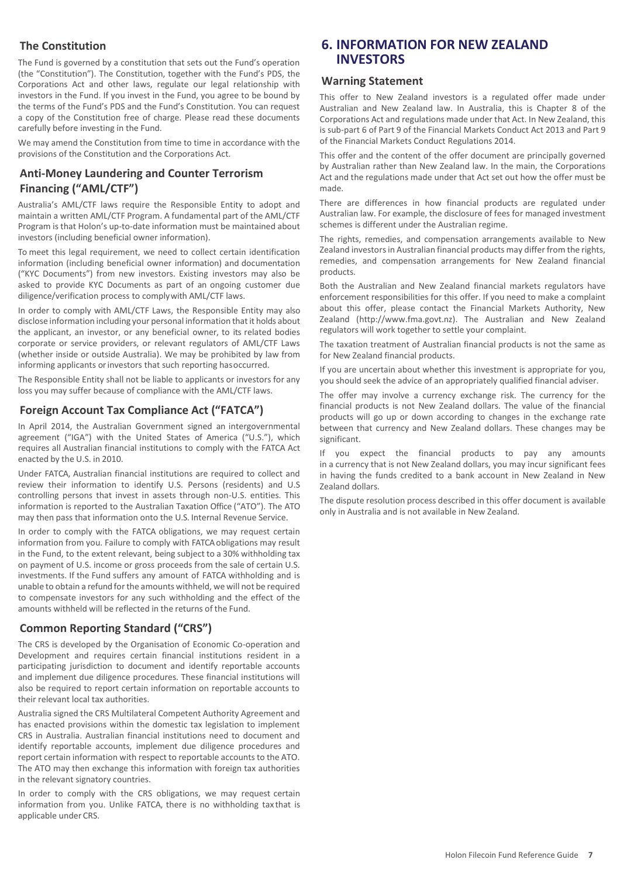## **The Constitution**

The Fund is governed by a constitution that sets out the Fund's operation (the "Constitution"). The Constitution, together with the Fund's PDS, the Corporations Act and other laws, regulate our legal relationship with investors in the Fund. If you invest in the Fund, you agree to be bound by the terms of the Fund's PDS and the Fund's Constitution. You can request a copy of the Constitution free of charge. Please read these documents carefully before investing in the Fund.

We may amend the Constitution from time to time in accordance with the provisions of the Constitution and the Corporations Act.

## **Anti-Money Laundering and Counter Terrorism Financing ("AML/CTF")**

Australia's AML/CTF laws require the Responsible Entity to adopt and maintain a written AML/CTF Program. A fundamental part of the AML/CTF Program is that Holon's up-to-date information must be maintained about investors (including beneficial owner information).

To meet this legal requirement, we need to collect certain identification information (including beneficial owner information) and documentation ("KYC Documents") from new investors. Existing investors may also be asked to provide KYC Documents as part of an ongoing customer due diligence/verification process to complywith AML/CTF laws.

In order to comply with AML/CTF Laws, the Responsible Entity may also disclose information including your personal information that it holds about the applicant, an investor, or any beneficial owner, to its related bodies corporate or service providers, or relevant regulators of AML/CTF Laws (whether inside or outside Australia). We may be prohibited by law from informing applicants or investors that such reporting hasoccurred.

The Responsible Entity shall not be liable to applicants or investors for any loss you may suffer because of compliance with the AML/CTF laws.

## **Foreign Account Tax Compliance Act ("FATCA")**

In April 2014, the Australian Government signed an intergovernmental agreement ("IGA") with the United States of America ("U.S."), which requires all Australian financial institutions to comply with the FATCA Act enacted by the U.S. in 2010.

Under FATCA, Australian financial institutions are required to collect and review their information to identify U.S. Persons (residents) and U.S controlling persons that invest in assets through non-U.S. entities. This information is reported to the Australian Taxation Office ("ATO"). The ATO may then pass that information onto the U.S. Internal Revenue Service.

In order to comply with the FATCA obligations, we may request certain information from you. Failure to comply with FATCA obligations may result in the Fund, to the extent relevant, being subject to a 30% withholding tax on payment of U.S. income or gross proceeds from the sale of certain U.S. investments. If the Fund suffers any amount of FATCA withholding and is unable to obtain a refund for the amounts withheld, we will not be required to compensate investors for any such withholding and the effect of the amounts withheld will be reflected in the returns of the Fund.

## **Common Reporting Standard ("CRS")**

The CRS is developed by the Organisation of Economic Co-operation and Development and requires certain financial institutions resident in a participating jurisdiction to document and identify reportable accounts and implement due diligence procedures. These financial institutions will also be required to report certain information on reportable accounts to their relevant local tax authorities.

Australia signed the CRS Multilateral Competent Authority Agreement and has enacted provisions within the domestic tax legislation to implement CRS in Australia. Australian financial institutions need to document and identify reportable accounts, implement due diligence procedures and report certain information with respect to reportable accounts to the ATO. The ATO may then exchange this information with foreign tax authorities in the relevant signatory countries.

In order to comply with the CRS obligations, we may request certain information from you. Unlike FATCA, there is no withholding tax that is applicable under CRS.

## **6. INFORMATION FOR NEW ZEALAND INVESTORS**

#### **Warning Statement**

This offer to New Zealand investors is a regulated offer made under Australian and New Zealand law. In Australia, this is Chapter 8 of the Corporations Act and regulations made under that Act. In New Zealand, this is sub-part 6 of Part 9 of the Financial Markets Conduct Act 2013 and Part 9 of the Financial Markets Conduct Regulations 2014.

This offer and the content of the offer document are principally governed by Australian rather than New Zealand law. In the main, the Corporations Act and the regulations made under that Act set out how the offer must be made.

There are differences in how financial products are regulated under Australian law. For example, the disclosure of fees for managed investment schemes is different under the Australian regime.

The rights, remedies, and compensation arrangements available to New Zealand investors in Australian financial products may differ from the rights, remedies, and compensation arrangements for New Zealand financial products.

Both the Australian and New Zealand financial markets regulators have enforcement responsibilities for this offer. If you need to make a complaint about this offer, please contact the Financial Markets Authority, New Zealand (http://www.fma.govt.nz). The Australian and New Zealand regulators will work together to settle your complaint.

The taxation treatment of Australian financial products is not the same as for New Zealand financial products.

If you are uncertain about whether this investment is appropriate for you, you should seek the advice of an appropriately qualified financial adviser.

The offer may involve a currency exchange risk. The currency for the financial products is not New Zealand dollars. The value of the financial products will go up or down according to changes in the exchange rate between that currency and New Zealand dollars. These changes may be significant.

If you expect the financial products to pay any amounts in a currency that is not New Zealand dollars, you may incur significant fees in having the funds credited to a bank account in New Zealand in New Zealand dollars.

The dispute resolution process described in this offer document is available only in Australia and is not available in New Zealand.